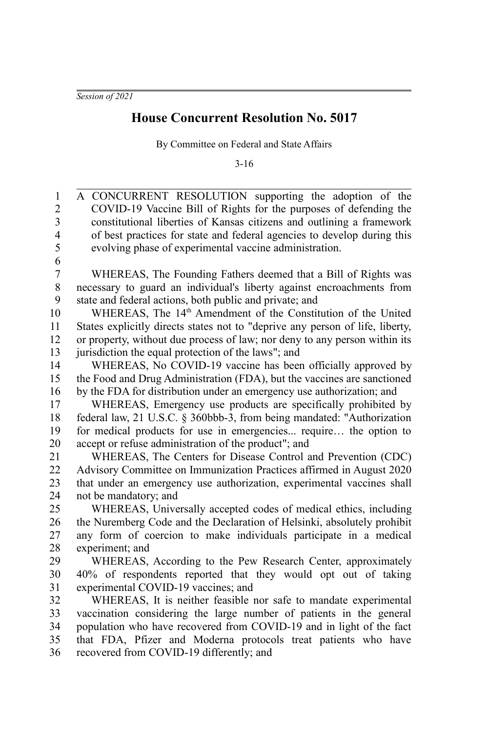## **House Concurrent Resolution No. 5017**

By Committee on Federal and State Affairs

3-16

A CONCURRENT RESOLUTION supporting the adoption of the COVID-19 Vaccine Bill of Rights for the purposes of defending the constitutional liberties of Kansas citizens and outlining a framework of best practices for state and federal agencies to develop during this evolving phase of experimental vaccine administration. WHEREAS, The Founding Fathers deemed that a Bill of Rights was necessary to guard an individual's liberty against encroachments from state and federal actions, both public and private; and WHEREAS, The 14<sup>th</sup> Amendment of the Constitution of the United States explicitly directs states not to "deprive any person of life, liberty, or property, without due process of law; nor deny to any person within its jurisdiction the equal protection of the laws"; and WHEREAS, No COVID-19 vaccine has been officially approved by the Food and Drug Administration (FDA), but the vaccines are sanctioned by the FDA for distribution under an emergency use authorization; and WHEREAS, Emergency use products are specifically prohibited by federal law, 21 U.S.C. § 360bbb-3, from being mandated: "Authorization for medical products for use in emergencies... require… the option to accept or refuse administration of the product"; and WHEREAS, The Centers for Disease Control and Prevention (CDC) Advisory Committee on Immunization Practices affirmed in August 2020 that under an emergency use authorization, experimental vaccines shall not be mandatory; and WHEREAS, Universally accepted codes of medical ethics, including the Nuremberg Code and the Declaration of Helsinki, absolutely prohibit any form of coercion to make individuals participate in a medical experiment; and WHEREAS, According to the Pew Research Center, approximately 40% of respondents reported that they would opt out of taking experimental COVID-19 vaccines; and WHEREAS, It is neither feasible nor safe to mandate experimental vaccination considering the large number of patients in the general population who have recovered from COVID-19 and in light of the fact that FDA, Pfizer and Moderna protocols treat patients who have recovered from COVID-19 differently; and 1 2 3 4 5 6 7 8 9 10 11 12 13 14 15 16 17 18 19 20 21 22 23  $24$ 25 26 27 28 29 30 31 32 33 34 35 36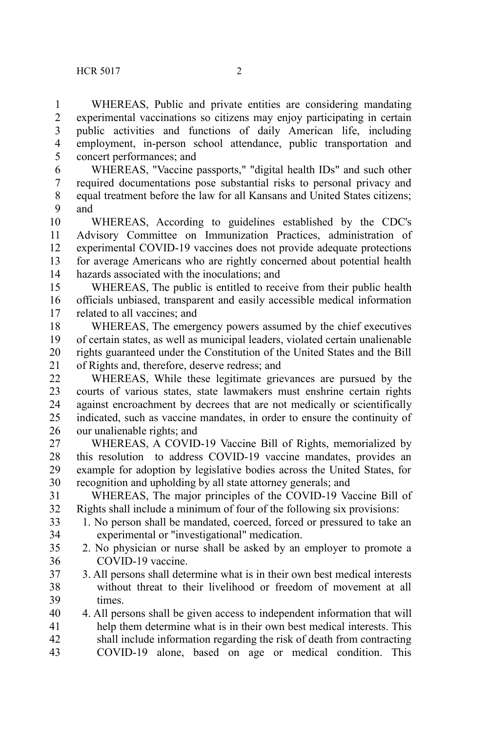WHEREAS, Public and private entities are considering mandating experimental vaccinations so citizens may enjoy participating in certain public activities and functions of daily American life, including employment, in-person school attendance, public transportation and concert performances; and 1 2 3 4 5

WHEREAS, "Vaccine passports," "digital health IDs" and such other required documentations pose substantial risks to personal privacy and equal treatment before the law for all Kansans and United States citizens; and 6 7 8  $\mathbf Q$ 

WHEREAS, According to guidelines established by the CDC's Advisory Committee on Immunization Practices, administration of experimental COVID-19 vaccines does not provide adequate protections for average Americans who are rightly concerned about potential health hazards associated with the inoculations; and 10 11 12 13 14

WHEREAS, The public is entitled to receive from their public health officials unbiased, transparent and easily accessible medical information related to all vaccines; and 15 16 17

WHEREAS, The emergency powers assumed by the chief executives of certain states, as well as municipal leaders, violated certain unalienable rights guaranteed under the Constitution of the United States and the Bill of Rights and, therefore, deserve redress; and 18 19 20 21

WHEREAS, While these legitimate grievances are pursued by the courts of various states, state lawmakers must enshrine certain rights against encroachment by decrees that are not medically or scientifically indicated, such as vaccine mandates, in order to ensure the continuity of our unalienable rights; and 22 23 24 25 26

WHEREAS, A COVID-19 Vaccine Bill of Rights, memorialized by this resolution to address COVID-19 vaccine mandates, provides an example for adoption by legislative bodies across the United States, for recognition and upholding by all state attorney generals; and 27 28 29 30

WHEREAS, The major principles of the COVID-19 Vaccine Bill of Rights shall include a minimum of four of the following six provisions: 31 32

- 1. No person shall be mandated, coerced, forced or pressured to take an experimental or "investigational" medication. 33 34
- 2. No physician or nurse shall be asked by an employer to promote a COVID-19 vaccine. 35 36
- 3. All persons shall determine what is in their own best medical interests without threat to their livelihood or freedom of movement at all times. 37 38 39

4. All persons shall be given access to independent information that will help them determine what is in their own best medical interests. This shall include information regarding the risk of death from contracting COVID-19 alone, based on age or medical condition. This 40 41 42 43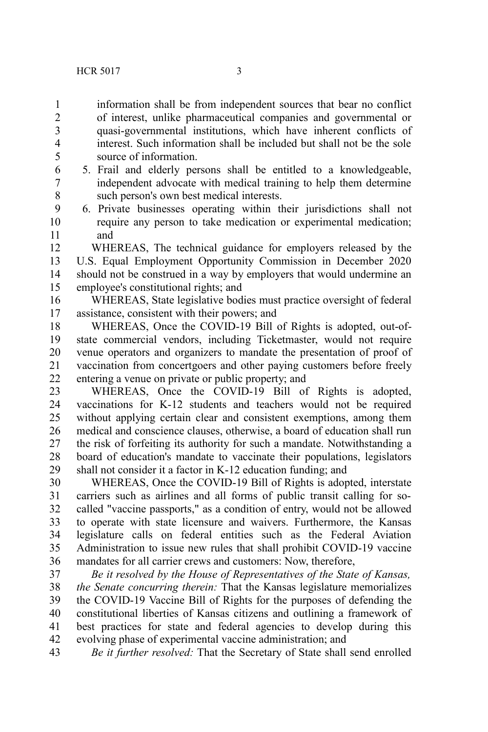information shall be from independent sources that bear no conflict of interest, unlike pharmaceutical companies and governmental or quasi-governmental institutions, which have inherent conflicts of interest. Such information shall be included but shall not be the sole source of information.

> 5. Frail and elderly persons shall be entitled to a knowledgeable, independent advocate with medical training to help them determine such person's own best medical interests.

6. Private businesses operating within their jurisdictions shall not require any person to take medication or experimental medication; and 9 10 11

WHEREAS, The technical guidance for employers released by the U.S. Equal Employment Opportunity Commission in December 2020 should not be construed in a way by employers that would undermine an employee's constitutional rights; and 12 13 14 15

WHEREAS, State legislative bodies must practice oversight of federal assistance, consistent with their powers; and 16 17

WHEREAS, Once the COVID-19 Bill of Rights is adopted, out-ofstate commercial vendors, including Ticketmaster, would not require venue operators and organizers to mandate the presentation of proof of vaccination from concertgoers and other paying customers before freely entering a venue on private or public property; and 18 19 20 21 22

WHEREAS, Once the COVID-19 Bill of Rights is adopted, vaccinations for K-12 students and teachers would not be required without applying certain clear and consistent exemptions, among them medical and conscience clauses, otherwise, a board of education shall run the risk of forfeiting its authority for such a mandate. Notwithstanding a board of education's mandate to vaccinate their populations, legislators shall not consider it a factor in K-12 education funding; and 23 24 25 26 27 28 29

WHEREAS, Once the COVID-19 Bill of Rights is adopted, interstate carriers such as airlines and all forms of public transit calling for socalled "vaccine passports," as a condition of entry, would not be allowed to operate with state licensure and waivers. Furthermore, the Kansas legislature calls on federal entities such as the Federal Aviation Administration to issue new rules that shall prohibit COVID-19 vaccine mandates for all carrier crews and customers: Now, therefore, 30 31 32 33 34 35 36

*Be it resolved by the House of Representatives of the State of Kansas, the Senate concurring therein:* That the Kansas legislature memorializes the COVID-19 Vaccine Bill of Rights for the purposes of defending the constitutional liberties of Kansas citizens and outlining a framework of best practices for state and federal agencies to develop during this evolving phase of experimental vaccine administration; and 37 38 39 40 41 42

*Be it further resolved:* That the Secretary of State shall send enrolled 43